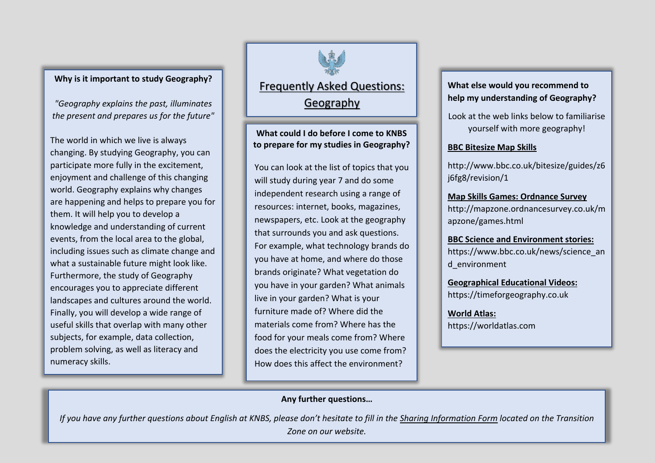# **Why is it important to study Geography?**

*"Geography explains the past, illuminates the present and prepares us for the future"*

The world in which we live is always changing. By studying Geography, you can participate more fully in the excitement, enjoyment and challenge of this changing world. Geography explains why changes are happening and helps to prepare you for them. It will help you to develop a knowledge and understanding of current events, from the local area to the global, including issues such as climate change and what a sustainable future might look like. Furthermore, the study of Geography encourages you to appreciate different landscapes and cultures around the world. Finally, you will develop a wide range of useful skills that overlap with many other subjects, for example, data collection, problem solving, as well as literacy and numeracy skills.

Frequently Asked Questions: Geography

**What could I do before I come to KNBS to prepare for my studies in Geography?**

You can look at the list of topics that you will study during year 7 and do some independent research using a range of resources: internet, books, magazines, newspapers, etc. Look at the geography that surrounds you and ask questions. For example, what technology brands do you have at home, and where do those brands originate? What vegetation do you have in your garden? What animals live in your garden? What is your furniture made of? Where did the materials come from? Where has the food for your meals come from? Where does the electricity you use come from? How does this affect the environment?

# **What else would you recommend to help my understanding of Geography?**

Look at the web links below to familiarise yourself with more geography!

## **BBC Bitesize Map Skills**

http://www.bbc.co.uk/bitesize/guides/z6 j6fg8/revision/1

**Map Skills Games: Ordnance Survey**  http://mapzone.ordnancesurvey.co.uk/m apzone/games.html

**BBC Science and Environment stories:**  https://www.bbc.co.uk/news/science\_an d\_environment

**Geographical Educational Videos:** https://timeforgeography.co.uk

**World Atlas:** https://worldatlas.com

# **Any further questions…**

*If you have any further questions about English at KNBS, please don't hesitate to fill in the Sharing Information Form located on the Transition* 

*Zone on our website.*